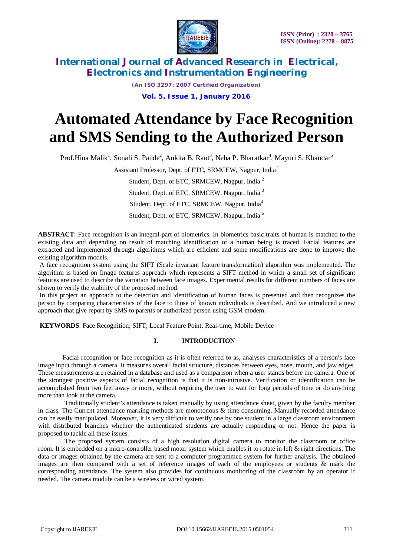

*(An ISO 3297: 2007 Certified Organization)*  **Vol. 5, Issue 1, January 2016**

# **Automated Attendance by Face Recognition and SMS Sending to the Authorized Person**

Prof.Hina Malik<sup>1</sup>, Sonali S. Pande<sup>2</sup>, Ankita B. Raut<sup>3</sup>, Neha P. Bharatkar<sup>4</sup>, Mayuri S. Khandar<sup>5</sup>

Assistant Professor, Dept. of ETC, SRMCEW, Nagpur, India <sup>1</sup>

Student, Dept. of ETC, SRMCEW, Nagpur, India <sup>2</sup> Student, Dept. of ETC, SRMCEW, Nagpur, India <sup>3</sup>

Student, Dept. of ETC, SRMCEW, Nagpur, India<sup>4</sup>

Student, Dept. of ETC, SRMCEW, Nagpur, India <sup>5</sup>

**ABSTRACT**: Face recognition is an integral part of biometrics. In biometrics basic traits of human is matched to the existing data and depending on result of matching identification of a human being is traced. Facial features are extracted and implemented through algorithms which are efficient and some modifications are done to improve the existing algorithm models.

A face recognition system using the SIFT (Scale invariant feature transformation) algorithm was implemented. The algorithm is based on Image features approach which represents a SIFT method in which a small set of significant features are used to describe the variation between face images. Experimental results for different numbers of faces are shown to verify the viability of the proposed method.

In this project an approach to the detection and identification of human faces is presented and then recognizes the person by comparing characteristics of the face to those of known individuals is described. And we introduced a new approach that give report by SMS to parents or authorized person using GSM modem.

**KEYWORDS**: Face Recognition; SIFT; Local Feature Point; Real-time; Mobile Device

### **I. INTRODUCTION**

 Facial recognition or face recognition as it is often referred to as, analyses characteristics of a person's face image input through a camera. It measures overall facial structure, distances between eyes, nose, mouth, and jaw edges. These measurements are retained in a database and used as a comparison when a user stands before the camera. One of the strongest positive aspects of facial recognition is that it is non-intrusive. Verification or identification can be accomplished from two feet away or more, without requiring the user to wait for long periods of time or do anything more than look at the camera.

 Traditionally student's attendance is taken manually by using attendance sheet, given by the faculty member in class. The Current attendance marking methods are monotonous & time consuming. Manually recorded attendance can be easily manipulated. Moreover, it is very difficult to verify one by one student in a large classroom environment with distributed branches whether the authenticated students are actually responding or not. Hence the paper is proposed to tackle all these issues.

 The proposed system consists of a high resolution digital camera to monitor the classroom or office room. It is embedded on a micro-controller based motor system which enables it to rotate in left & right directions. The data or images obtained by the camera are sent to a computer programmed system for further analysis. The obtained images are then compared with a set of reference images of each of the employees or students & mark the corresponding attendance. The system also provides for continuous monitoring of the classroom by an operator if needed. The camera module can be a wireless or wired system.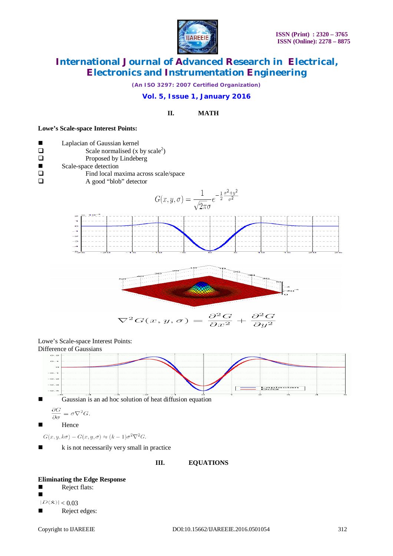

*(An ISO 3297: 2007 Certified Organization)*

### **Vol. 5, Issue 1, January 2016**

### **II. MATH**

#### **Lowe's Scale-space Interest Points:**

| ш | Laplacian of Gaussian kernel         |
|---|--------------------------------------|
|   | Scale normalised $(x by scale2)$     |
|   | Proposed by Lindeberg                |
| ш | Scale-space detection                |
|   | Find local maxima across scale/space |
|   | A good "blob" detector               |

$$
G(x, y, \sigma) = \frac{1}{\sqrt{2\pi}\sigma} e^{-\frac{1}{2}\frac{x^2 + y^2}{\sigma^2}}
$$





$$
\nabla^2 G(x, y, \sigma) = \frac{\partial^2 G}{\partial x^2} + \frac{\partial^2 G}{\partial y^2}
$$

Lowe's Scale-space Interest Points: Difference of Gaussians



Gaussian is an ad hoc solution of heat diffusion equation

$$
\frac{\partial G}{\partial \sigma} = \sigma \nabla^2 G.
$$

 $\blacksquare$ Hence

 $G(x, y, k\sigma) - G(x, y, \sigma) \approx (k-1)\sigma^2 \nabla^2 G.$ 

 $\blacksquare$  k is not necessarily very small in practice

**III. EQUATIONS**

# **Eliminating the Edge Response**<br>■ Reject flats:

Reject flats:

 $\blacksquare$  $|D(\hat{x})| < 0.03$ 

Reject edges: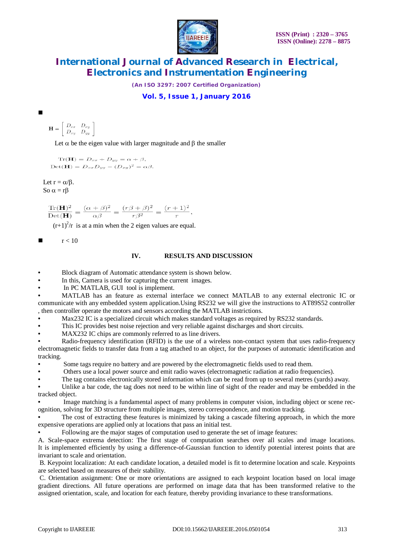

*(An ISO 3297: 2007 Certified Organization)*

**Vol. 5, Issue 1, January 2016**

$$
\mathbf{H} = \left[ \begin{array}{cc} D_{xx} & D_{xy} \\ D_{xy} & D_{yy} \end{array} \right]
$$

 $\blacksquare$ 

Let  $\alpha$  be the eigen value with larger magnitude and  $\beta$  the smaller

 $\text{Tr}(\mathbf{H}) = D_{xx} + D_{yy} = \alpha + \beta,$  $\mathrm{Det}(\mathbf{H}) = D_{xx}D_{yy} - (D_{xy})^2 = \alpha\beta.$ 

Let  $r = \alpha / \beta$ . So  $\alpha = r\beta$ 

$$
\frac{\text{Tr}(\mathbf{H})^2}{\text{Det}(\mathbf{H})} = \frac{(\alpha+\beta)^2}{\alpha\beta} = \frac{(r\beta+\beta)^2}{r\beta^2} = \frac{(r+1)^2}{r},
$$

 $(r+1)^2/r$  is at a min when the 2 eigen values are equal.

 $r < 10$ 

#### **IV. RESULTS AND DISCUSSION**

• Block diagram of Automatic attendance system is shown below.

In this, Camera is used for capturing the current images.

In PC MATLAB, GUI tool is implement.

• MATLAB has an feature as external interface we connect MATLAB to any external electronic IC or communicate with any embedded system application.Using RS232 we will give the instructions to AT89S52 controller , then controller operate the motors and sensors according the MATLAB instrictions.

Max232 IC is a specialized circuit which makes standard voltages as required by RS232 standards.

• This IC provides best noise rejection and very reliable against discharges and short circuits.

MAX232 IC chips are commonly referred to as line drivers.

Radio-frequency identification (RFID) is the use of a wireless non-contact system that uses radio-frequency electromagnetic fields to transfer data from a tag attached to an object, for the purposes of automatic identification and tracking.

Some tags require no battery and are powered by the electromagnetic fields used to read them.

• Others use a local power source and emit radio waves (electromagnetic radiation at radio frequencies).

• The tag contains electronically stored information which can be read from up to several metres (yards) away.

Unlike a bar code, the tag does not need to be within line of sight of the reader and may be embedded in the tracked object.

• Image matching is a fundamental aspect of many problems in computer vision, including object or scene recognition, solving for 3D structure from multiple images, stereo correspondence, and motion tracking.

The cost of extracting these features is minimized by taking a cascade filtering approach, in which the more expensive operations are applied only at locations that pass an initial test.

• Following are the major stages of computation used to generate the set of image features:

A. Scale-space extrema detection: The first stage of computation searches over all scales and image locations. It is implemented efficiently by using a difference-of-Gaussian function to identify potential interest points that are invariant to scale and orientation.

B. Keypoint localization: At each candidate location, a detailed model is fit to determine location and scale. Keypoints are selected based on measures of their stability.

C. Orientation assignment: One or more orientations are assigned to each keypoint location based on local image gradient directions. All future operations are performed on image data that has been transformed relative to the assigned orientation, scale, and location for each feature, thereby providing invariance to these transformations.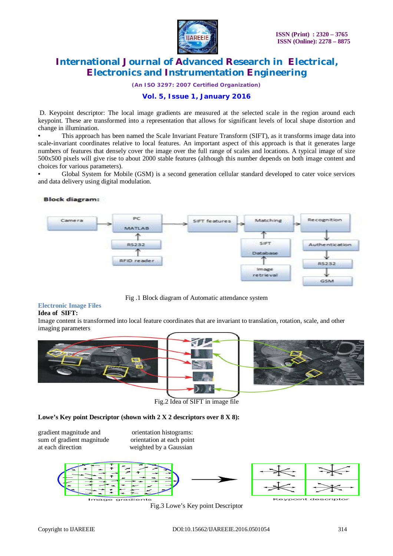

*(An ISO 3297: 2007 Certified Organization)*

### **Vol. 5, Issue 1, January 2016**

D. Keypoint descriptor: The local image gradients are measured at the selected scale in the region around each keypoint. These are transformed into a representation that allows for significant levels of local shape distortion and change in illumination.

• This approach has been named the Scale Invariant Feature Transform (SIFT), as it transforms image data into scale-invariant coordinates relative to local features. An important aspect of this approach is that it generates large numbers of features that densely cover the image over the full range of scales and locations. A typical image of size 500x500 pixels will give rise to about 2000 stable features (although this number depends on both image content and choices for various parameters).

Global System for Mobile (GSM) is a second generation cellular standard developed to cater voice services and data delivery using digital modulation.

### **Block diagram:**



Fig .1 Block diagram of Automatic attendance system

#### **Electronic Image Files Idea of SIFT:**

Image content is transformed into local feature coordinates that are invariant to translation, rotation, scale, and other imaging parameters



Fig.2 Idea of SIFT in image file

### **Lowe's Key point Descriptor (shown with 2 X 2 descriptors over 8 X 8):**

gradient magnitude and orientation histograms: sum of gradient magnitude orientation at each point<br>at each direction weighted by a Gaussian

weighted by a Gaussian



Fig.3 Lowe's Key point Descriptor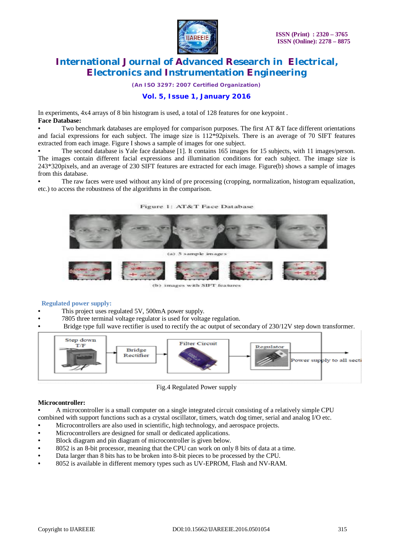

*(An ISO 3297: 2007 Certified Organization)*

### **Vol. 5, Issue 1, January 2016**

In experiments, 4x4 arrays of 8 bin histogram is used, a total of 128 features for one keypoint . **Face Database:**

Two benchmark databases are employed for comparison purposes. The first AT &T face different orientations and facial expressions for each subject. The image size is  $112*92$  pixels. There is an average of 70 SIFT features extracted from each image. Figure I shows a sample of images for one subject.

• The second database is Yale face database [1]. It contains 165 images for 15 subjects, with 11 images/person. The images contain different facial expressions and illumination conditions for each subject. The image size is 243\*320pixels, and an average of 230 SIFT features are extracted for each image. Figure(b) shows a sample of images from this database.

• The raw faces were used without any kind of pre processing (cropping, normalization, histogram equalization, etc.) to access the robustness of the algorithms in the comparison.

Figure 1: AT&T Face Database



(b) images with SIFT features

#### **Regulated power supply:**

- This project uses regulated 5V, 500mA power supply.
- 7805 three terminal voltage regulator is used for voltage regulation.
- Bridge type full wave rectifier is used to rectify the ac output of secondary of 230/12V step down transformer.



Fig.4 Regulated Power supply

#### **Microcontroller:**

• A microcontroller is a small computer on a single integrated circuit consisting of a relatively simple CPU

- combined with support functions such as a crystal oscillator, timers, watch dog timer, serial and analog I/O etc.
- Microcontrollers are also used in scientific, high technology, and aerospace projects.
- Microcontrollers are designed for small or dedicated applications.
- Block diagram and pin diagram of microcontroller is given below.
- 8052 is an 8-bit processor, meaning that the CPU can work on only 8 bits of data at a time.
- Data larger than 8 bits has to be broken into 8-bit pieces to be processed by the CPU.
- 8052 is available in different memory types such as UV-EPROM, Flash and NV-RAM.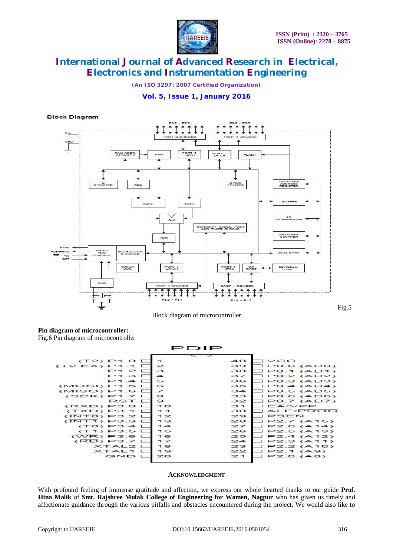

*(An ISO 3297: 2007 Certified Organization)*

### **Vol. 5, Issue 1, January 2016**

#### **Block Diagram**



Block diagram of microcontroller

Fig.5

## **Pin diagram of microcontroller:**

Fig.6 Pin diagram of microcontroller



#### **ACKNOWLEDGMENT**

With profound feeling of immense gratitude and affection, we express our whole hearted thanks to our guide **Prof. Hina Malik** of **Smt. Rajshree Mulak College of Engineering for Women, Nagpur** who has given us timely and affectionate guidance through the various pitfalls and obstacles encountered during the project. We would also like to